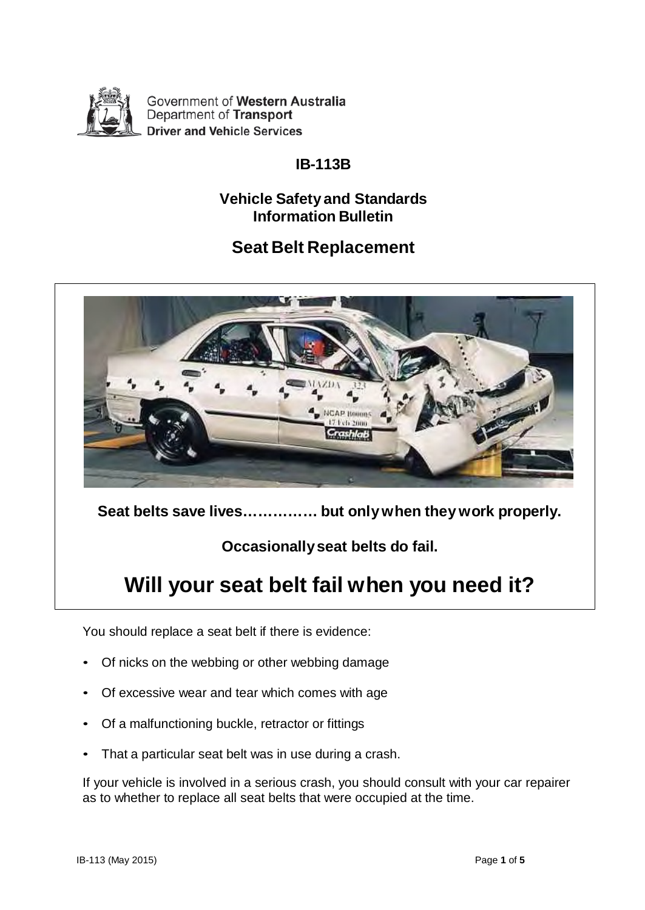

Government of Western Australia Department of Transport **Driver and Vehicle Services** 

## **IB-113B**

## **Vehicle Safety and Standards Information Bulletin**

# **Seat Belt Replacement**



**Seat belts save lives…………… but only when they work properly.**

**Occasionally seat belts do fail.**

# **Will your seat belt fail when you need it?**

You should replace a seat belt if there is evidence:

- Of nicks on the webbing or other webbing damage
- Of excessive wear and tear which comes with age
- Of a malfunctioning buckle, retractor or fittings
- That a particular seat belt was in use during a crash.

If your vehicle is involved in a serious crash, you should consult with your car repairer as to whether to replace all seat belts that were occupied at the time.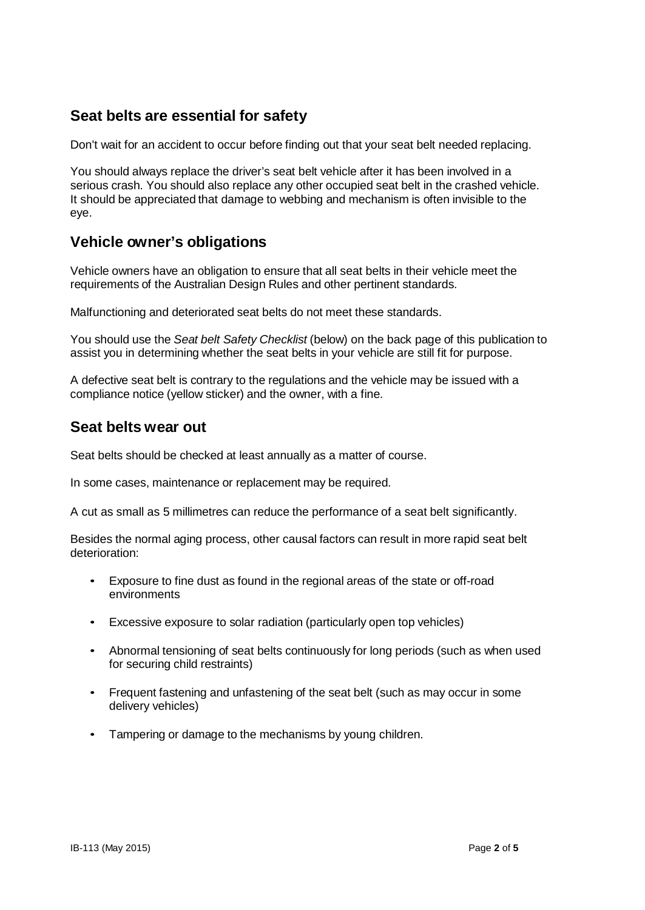### **Seat belts are essential for safety**

Don't wait for an accident to occur before finding out that your seat belt needed replacing.

You should always replace the driver's seat belt vehicle after it has been involved in a serious crash. You should also replace any other occupied seat belt in the crashed vehicle. It should be appreciated that damage to webbing and mechanism is often invisible to the eye.

#### **Vehicle owner's obligations**

Vehicle owners have an obligation to ensure that all seat belts in their vehicle meet the requirements of the Australian Design Rules and other pertinent standards.

Malfunctioning and deteriorated seat belts do not meet these standards.

You should use the *Seat belt Safety Checklist* (below) on the back page of this publication to assist you in determining whether the seat belts in your vehicle are still fit for purpose.

A defective seat belt is contrary to the regulations and the vehicle may be issued with a compliance notice (yellow sticker) and the owner, with a fine.

#### **Seat belts wear out**

Seat belts should be checked at least annually as a matter of course.

In some cases, maintenance or replacement may be required.

A cut as small as 5 millimetres can reduce the performance of a seat belt significantly.

Besides the normal aging process, other causal factors can result in more rapid seat belt deterioration:

- Exposure to fine dust as found in the regional areas of the state or off-road environments
- Excessive exposure to solar radiation (particularly open top vehicles)
- Abnormal tensioning of seat belts continuously for long periods (such as when used for securing child restraints)
- Frequent fastening and unfastening of the seat belt (such as may occur in some delivery vehicles)
- Tampering or damage to the mechanisms by young children.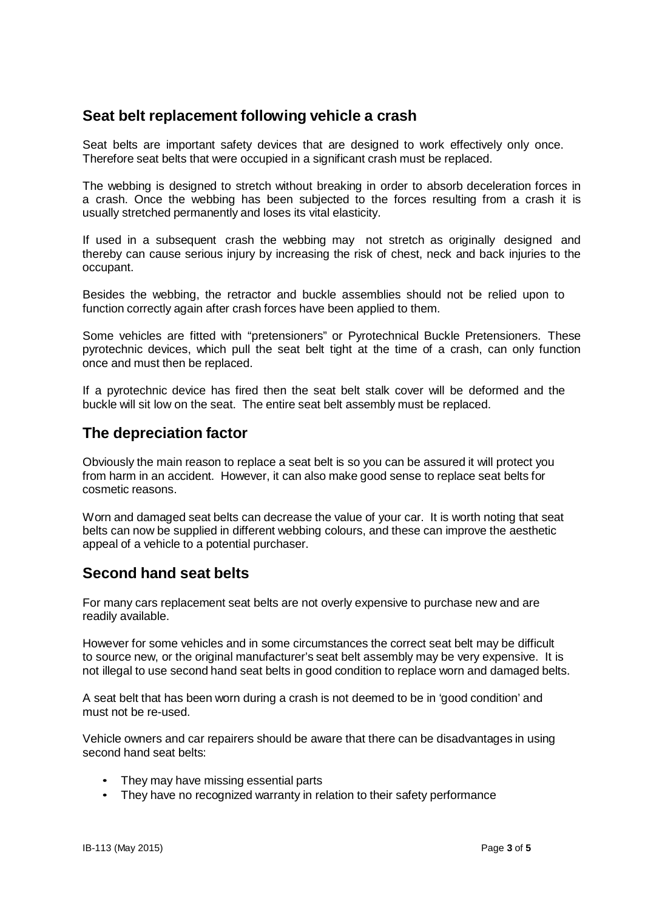#### **Seat belt replacement following vehicle a crash**

Seat belts are important safety devices that are designed to work effectively only once. Therefore seat belts that were occupied in a significant crash must be replaced.

The webbing is designed to stretch without breaking in order to absorb deceleration forces in a crash. Once the webbing has been subjected to the forces resulting from a crash it is usually stretched permanently and loses its vital elasticity.

If used in a subsequent crash the webbing may not stretch as originally designed and thereby can cause serious injury by increasing the risk of chest, neck and back injuries to the occupant.

Besides the webbing, the retractor and buckle assemblies should not be relied upon to function correctly again after crash forces have been applied to them.

Some vehicles are fitted with "pretensioners" or Pyrotechnical Buckle Pretensioners. These pyrotechnic devices, which pull the seat belt tight at the time of a crash, can only function once and must then be replaced.

If a pyrotechnic device has fired then the seat belt stalk cover will be deformed and the buckle will sit low on the seat. The entire seat belt assembly must be replaced.

#### **The depreciation factor**

Obviously the main reason to replace a seat belt is so you can be assured it will protect you from harm in an accident. However, it can also make good sense to replace seat belts for cosmetic reasons.

Worn and damaged seat belts can decrease the value of your car. It is worth noting that seat belts can now be supplied in different webbing colours, and these can improve the aesthetic appeal of a vehicle to a potential purchaser.

#### **Second hand seat belts**

For many cars replacement seat belts are not overly expensive to purchase new and are readily available.

However for some vehicles and in some circumstances the correct seat belt may be difficult to source new, or the original manufacturer's seat belt assembly may be very expensive. It is not illegal to use second hand seat belts in good condition to replace worn and damaged belts.

A seat belt that has been worn during a crash is not deemed to be in 'good condition' and must not be re-used.

Vehicle owners and car repairers should be aware that there can be disadvantages in using second hand seat belts:

- They may have missing essential parts
- They have no recognized warranty in relation to their safety performance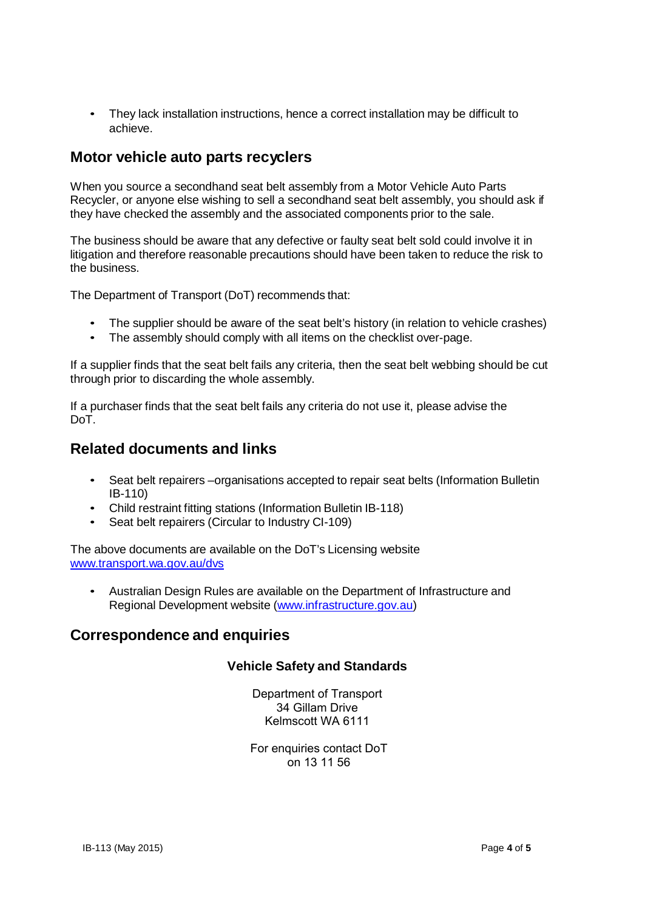• They lack installation instructions, hence a correct installation may be difficult to achieve.

#### **Motor vehicle auto parts recyclers**

When you source a secondhand seat belt assembly from a Motor Vehicle Auto Parts Recycler, or anyone else wishing to sell a secondhand seat belt assembly, you should ask if they have checked the assembly and the associated components prior to the sale.

The business should be aware that any defective or faulty seat belt sold could involve it in litigation and therefore reasonable precautions should have been taken to reduce the risk to the business.

The Department of Transport (DoT) recommends that:

- The supplier should be aware of the seat belt's history (in relation to vehicle crashes)
- The assembly should comply with all items on the checklist over-page.

If a supplier finds that the seat belt fails any criteria, then the seat belt webbing should be cut through prior to discarding the whole assembly.

If a purchaser finds that the seat belt fails any criteria do not use it, please advise the DoT.

#### **Related documents and links**

- Seat belt repairers –organisations accepted to repair seat belts (Information Bulletin IB-110)
- Child restraint fitting stations (Information Bulletin IB-118)
- Seat belt repairers (Circular to Industry CI-109)

The above documents are available on the DoT's Licensing website www.transport.wa.gov.au/dvs

• Australian Design Rules are available on the Department of Infrastructure and Regional Development website (www.infrastructure.gov.au)

#### **Correspondence and enquiries**

#### **Vehicle Safety and Standards**

Department of Transport 34 Gillam Drive Kelmscott WA 6111

 For enquiries contact DoT on 13 11 56